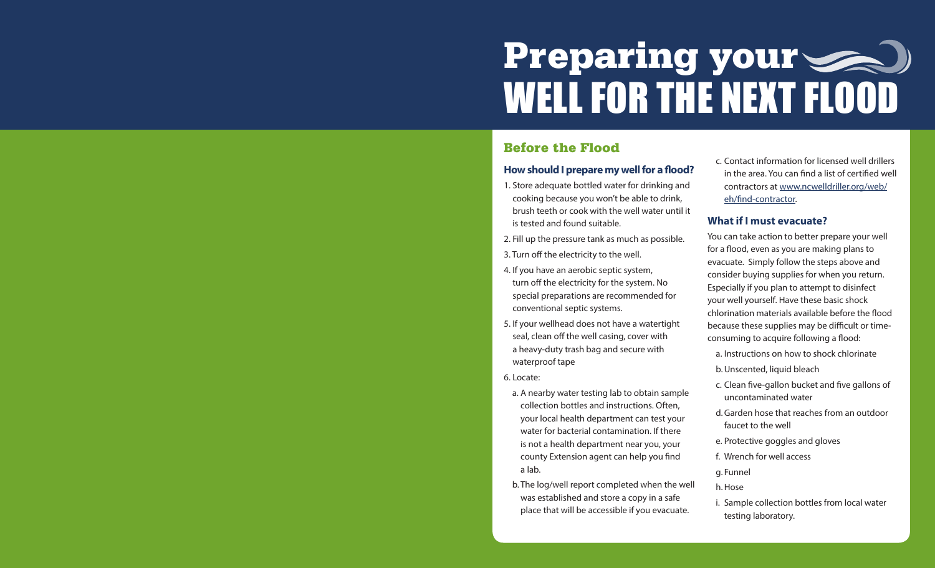# Preparing your WELL FOR THE NEXT FLOOD

# Before the Flood

# **How should I prepare my well for a flood?**

- 1. Store adequate bottled water for drinking and cooking because you won't be able to drink, brush teeth or cook with the well water until it is tested and found suitable.
- 2. Fill up the pressure tank as much as possible.
- 3. Turn off the electricity to the well.
- 4. If you have an aerobic septic system, turn off the electricity for the system. No special preparations are recommended for conventional septic systems.
- 5. If your wellhead does not have a watertight seal, clean off the well casing, cover with a heavy-duty trash bag and secure with waterproof tape
- 6. Locate:
	- a. A nearby water testing lab to obtain sample collection bottles and instructions. Often, your local health department can test your water for bacterial contamination. If there is not a health department near you, your county Extension agent can help you find a lab.
	- b. The log/well report completed when the well was established and store a copy in a safe place that will be accessible if you evacuate.

c. Contact information for licensed well drillers in the area. You can find a list of certified well contractors at [www.ncwelldriller.org/web/](http://www.ncwelldriller.org/web/eh/find-contractor) [eh/find-contractor](http://www.ncwelldriller.org/web/eh/find-contractor).

# **What if I must evacuate?**

You can take action to better prepare your well for a flood, even as you are making plans to evacuate. Simply follow the steps above and consider buying supplies for when you return. Especially if you plan to attempt to disinfect your well yourself. Have these basic shock chlorination materials available before the flood because these supplies may be difficult or timeconsuming to acquire following a flood:

- a. Instructions on how to shock chlorinate
- b. Unscented, liquid bleach
- c. Clean five-gallon bucket and five gallons of uncontaminated water
- d. Garden hose that reaches from an outdoor faucet to the well
- e. Protective goggles and gloves
- f. Wrench for well access
- g. Funnel
- h. Hose
- i. Sample collection bottles from local water testing laboratory.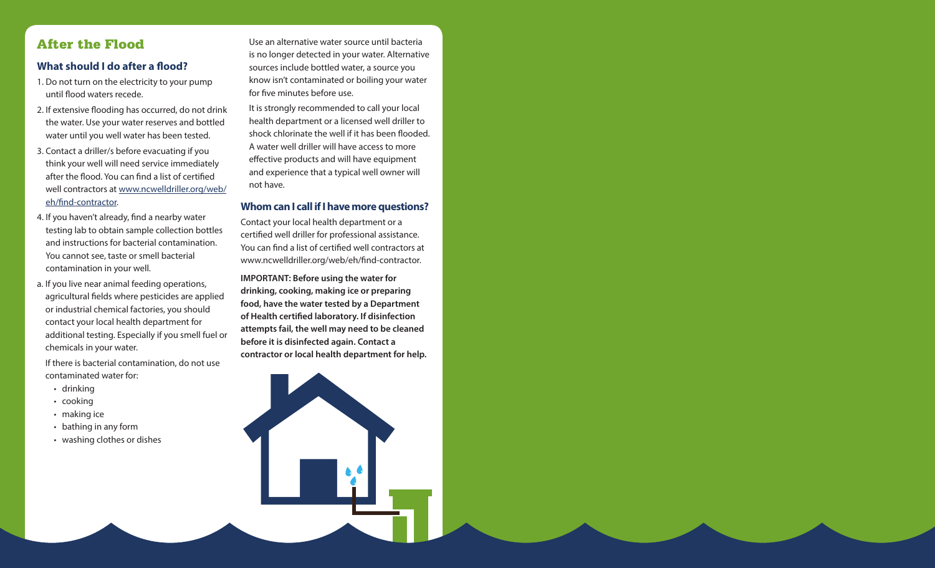# After the Flood

# **What should I do after a flood?**

- 1. Do not turn on the electricity to your pump until flood waters recede.
- 2. If extensive flooding has occurred, do not drink the water. Use your water reserves and bottled water until you well water has been tested.
- 3. Contact a driller/s before evacuating if you think your well will need service immediately after the flood. You can find a list of certified well contractors at [www.ncwelldriller.org/web/](http://www.ncwelldriller.org/web/eh/find-contractor) [eh/find-contractor.](http://www.ncwelldriller.org/web/eh/find-contractor)
- 4. If you haven't already, find a nearby water testing lab to obtain sample collection bottles and instructions for bacterial contamination. You cannot see, taste or smell bacterial contamination in your well.
- a. If you live near animal feeding operations, agricultural fields where pesticides are applied or industrial chemical factories, you should contact your local health department for additional testing. Especially if you smell fuel or chemicals in your water.

 If there is bacterial contamination, do not use contaminated water for:

- drinking
- cooking
- making ice
- bathing in any form
- washing clothes or dishes

 Use an alternative water source until bacteria is no longer detected in your water. Alternative sources include bottled water, a source you know isn't contaminated or boiling your water for five minutes before use.

It is strongly recommended to call your local health department or a licensed well driller to shock chlorinate the well if it has been flooded. A water well driller will have access to more effective products and will have equipment and experience that a typical well owner will not have.

# **Whom can I call if I have more questions?**

Contact your local health department or a certified well driller for professional assistance. You can find a list of certified well contractors at www.ncwelldriller.org/web/eh/find-contractor.

**IMPORTANT: Before using the water for** drinking, cooking, making ice or preparing food, have the water tested by a Department of Health certified laboratory. If disinfection attempts fail, the well may need to be cleaned before it is disinfected again. Contact a contractor or local health department for help.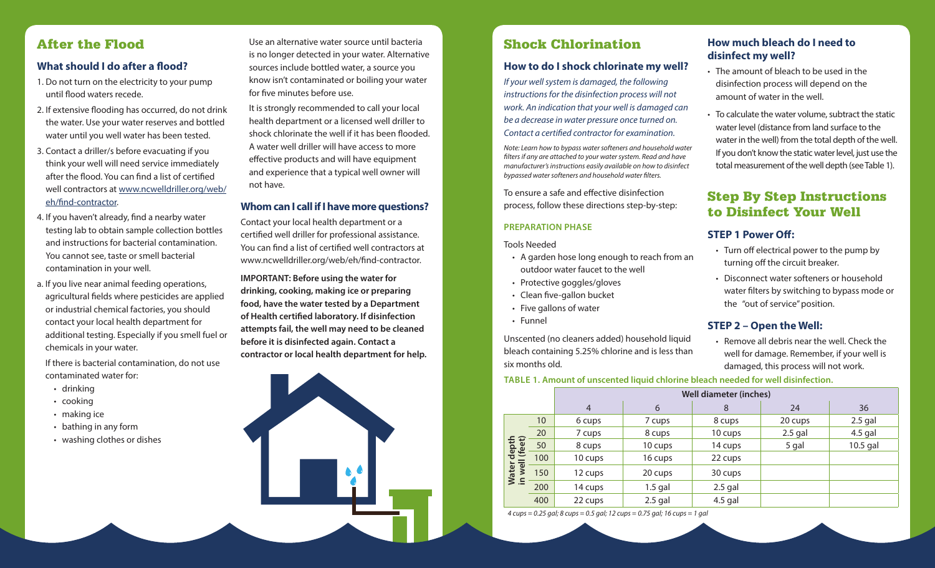# Shock Chlorination

#### **How to do I shock chlorinate my well?**

*If your well system is damaged, the following instructions for the disinfection process will not work. An indication that your well is damaged can be a decrease in water pressure once turned on. Contact a certified contractor for examination.*

*Note: Learn how to bypass water softeners and household water filters if any are attached to your water system. Read and have manufacturer's instructions easily available on how to disinfect bypassed water softeners and household water filters.* 

To ensure a safe and effective disinfection process, follow these directions step-by-step:

#### **PREPARATION PHASE**

Tools Needed

- A garden hose long enough to reach from an outdoor water faucet to the well
- Protective goggles/gloves
- Clean five-gallon bucket
- Five gallons of water
- Funnel

Unscented (no cleaners added) household liquid bleach containing 5.25% chlorine and is less than six months old.

# **How much bleach do I need to disinfect my well?**

- The amount of bleach to be used in the disinfection process will depend on the amount of water in the well.
- To calculate the water volume, subtract the static water level (distance from land surface to the water in the well) from the total depth of the well. If you don't know the static water level, just use the total measurement of the well depth (see Table 1).

# Step By Step Instructions to Disinfect Your Well

#### **STEP 1 Power Off:**

- Turn off electrical power to the pump by turning off the circuit breaker.
- Disconnect water softeners or household water filters by switching to bypass mode or the "out of service" position.

#### **STEP 2 – Open the Well:**

• Remove all debris near the well. Check the well for damage. Remember, if your well is damaged, this process will not work.

#### **TABLE 1. Amount of unscented liquid chlorine bleach needed for well disinfection.**

|                               |     | <b>Well diameter (inches)</b> |           |           |           |           |
|-------------------------------|-----|-------------------------------|-----------|-----------|-----------|-----------|
|                               |     | $\overline{4}$                | 6         | 8         | 24        | 36        |
| Water depth<br>in well (feet) | 10  | 6 cups                        | 7 cups    | 8 cups    | 20 cups   | $2.5$ gal |
|                               | 20  | 7 cups                        | 8 cups    | 10 cups   | $2.5$ gal | $4.5$ gal |
|                               | 50  | 8 cups                        | 10 cups   | 14 cups   | 5 gal     | 10.5 gal  |
|                               | 100 | 10 cups                       | 16 cups   | 22 cups   |           |           |
|                               | 150 | 12 cups                       | 20 cups   | 30 cups   |           |           |
|                               | 200 | 14 cups                       | $1.5$ gal | $2.5$ gal |           |           |
|                               | 400 | 22 cups                       | $2.5$ gal | $4.5$ gal |           |           |

*4 cups = 0.25 gal; 8 cups = 0.5 gal; 12 cups = 0.75 gal; 16 cups = 1 gal*